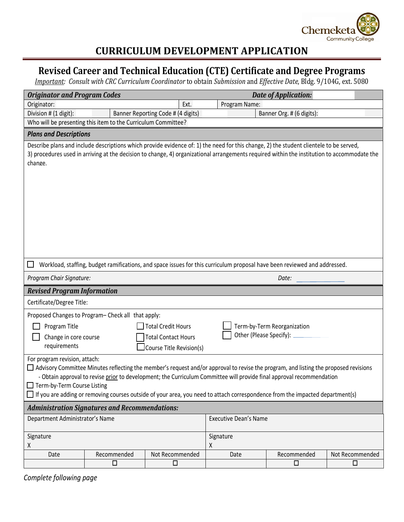

## **CURRICULUM DEVELOPMENT APPLICATION**

## **Revised Career and Technical Education (CTE) Certificate and Degree Programs**

*Important: Consult with CRC Curriculum Coordinator* to obtain *Submission* and *Effective Date*, Bldg. 9/104G, ext. 5080

| <b>Originator and Program Codes</b>                                                                                                                                                                                                                                                                                                                                                                                                                                                 |             |                                    | Date of Application:                                   |                           |                 |
|-------------------------------------------------------------------------------------------------------------------------------------------------------------------------------------------------------------------------------------------------------------------------------------------------------------------------------------------------------------------------------------------------------------------------------------------------------------------------------------|-------------|------------------------------------|--------------------------------------------------------|---------------------------|-----------------|
| Originator:                                                                                                                                                                                                                                                                                                                                                                                                                                                                         |             | Ext.                               | Program Name:                                          |                           |                 |
| Division # (1 digit):                                                                                                                                                                                                                                                                                                                                                                                                                                                               |             | Banner Reporting Code # (4 digits) |                                                        | Banner Org. # (6 digits): |                 |
| Who will be presenting this item to the Curriculum Committee?                                                                                                                                                                                                                                                                                                                                                                                                                       |             |                                    |                                                        |                           |                 |
| <b>Plans and Descriptions</b>                                                                                                                                                                                                                                                                                                                                                                                                                                                       |             |                                    |                                                        |                           |                 |
| Describe plans and include descriptions which provide evidence of: 1) the need for this change, 2) the student clientele to be served,<br>3) procedures used in arriving at the decision to change, 4) organizational arrangements required within the institution to accommodate the<br>change.                                                                                                                                                                                    |             |                                    |                                                        |                           |                 |
| Workload, staffing, budget ramifications, and space issues for this curriculum proposal have been reviewed and addressed.                                                                                                                                                                                                                                                                                                                                                           |             |                                    |                                                        |                           |                 |
| Program Chair Signature:                                                                                                                                                                                                                                                                                                                                                                                                                                                            |             |                                    | Date:                                                  |                           |                 |
| <b>Revised Program Information</b>                                                                                                                                                                                                                                                                                                                                                                                                                                                  |             |                                    |                                                        |                           |                 |
| Certificate/Degree Title:                                                                                                                                                                                                                                                                                                                                                                                                                                                           |             |                                    |                                                        |                           |                 |
| Proposed Changes to Program- Check all that apply:<br><b>Total Credit Hours</b><br>Program Title<br>Change in core course<br><b>Total Contact Hours</b><br>requirements<br>Course Title Revision(s)                                                                                                                                                                                                                                                                                 |             |                                    | Term-by-Term Reorganization<br>Other (Please Specify): |                           |                 |
| For program revision, attach:<br>$\Box$ Advisory Committee Minutes reflecting the member's request and/or approval to revise the program, and listing the proposed revisions<br>- Obtain approval to revise prior to development; the Curriculum Committee will provide final approval recommendation<br>$\Box$ Term-by-Term Course Listing<br>$\Box$ If you are adding or removing courses outside of your area, you need to attach correspondence from the impacted department(s) |             |                                    |                                                        |                           |                 |
| <b>Administration Signatures and Recommendations:</b>                                                                                                                                                                                                                                                                                                                                                                                                                               |             |                                    |                                                        |                           |                 |
| Department Administrator's Name                                                                                                                                                                                                                                                                                                                                                                                                                                                     |             |                                    | <b>Executive Dean's Name</b>                           |                           |                 |
| Signature<br>Χ                                                                                                                                                                                                                                                                                                                                                                                                                                                                      |             |                                    | Signature<br>Χ                                         |                           |                 |
| Date                                                                                                                                                                                                                                                                                                                                                                                                                                                                                | Recommended | Not Recommended                    | Date                                                   | Recommended               | Not Recommended |
|                                                                                                                                                                                                                                                                                                                                                                                                                                                                                     | $\Box$      | $\Box$                             |                                                        | $\Box$                    | $\Box$          |

*Complete following page*